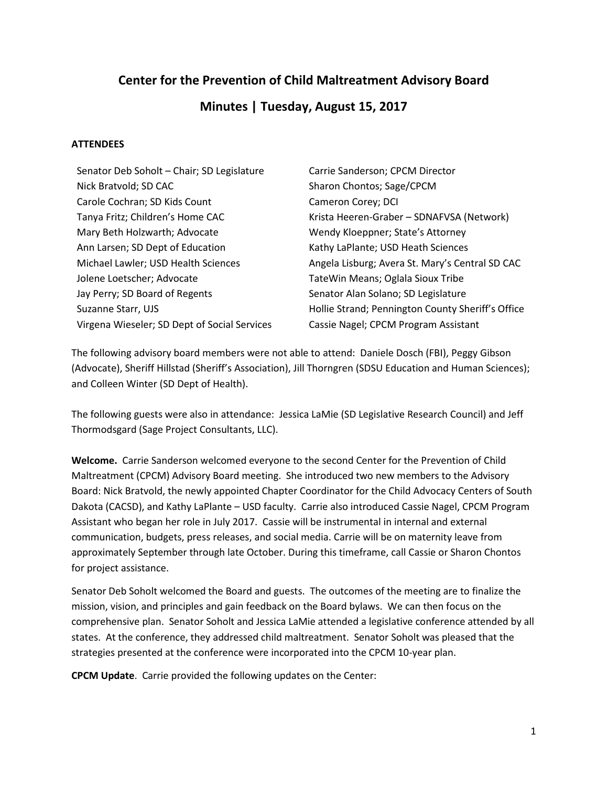# **Center for the Prevention of Child Maltreatment Advisory Board**

## **Minutes | Tuesday, August 15, 2017**

#### **ATTENDEES**

| Senator Deb Soholt - Chair; SD Legislature   | Carrie Sanderson; CPCM Director                   |
|----------------------------------------------|---------------------------------------------------|
| Nick Bratvold; SD CAC                        | Sharon Chontos; Sage/CPCM                         |
| Carole Cochran; SD Kids Count                | Cameron Corey; DCI                                |
| Tanya Fritz; Children's Home CAC             | Krista Heeren-Graber - SDNAFVSA (Network)         |
| Mary Beth Holzwarth; Advocate                | Wendy Kloeppner; State's Attorney                 |
| Ann Larsen; SD Dept of Education             | Kathy LaPlante; USD Heath Sciences                |
| Michael Lawler; USD Health Sciences          | Angela Lisburg; Avera St. Mary's Central SD CAC   |
| Jolene Loetscher; Advocate                   | TateWin Means; Oglala Sioux Tribe                 |
| Jay Perry; SD Board of Regents               | Senator Alan Solano; SD Legislature               |
| Suzanne Starr, UJS                           | Hollie Strand; Pennington County Sheriff's Office |
| Virgena Wieseler; SD Dept of Social Services | Cassie Nagel; CPCM Program Assistant              |

The following advisory board members were not able to attend: Daniele Dosch (FBI), Peggy Gibson (Advocate), Sheriff Hillstad (Sheriff's Association), Jill Thorngren (SDSU Education and Human Sciences); and Colleen Winter (SD Dept of Health).

The following guests were also in attendance: Jessica LaMie (SD Legislative Research Council) and Jeff Thormodsgard (Sage Project Consultants, LLC).

**Welcome.** Carrie Sanderson welcomed everyone to the second Center for the Prevention of Child Maltreatment (CPCM) Advisory Board meeting. She introduced two new members to the Advisory Board: Nick Bratvold, the newly appointed Chapter Coordinator for the Child Advocacy Centers of South Dakota (CACSD), and Kathy LaPlante – USD faculty. Carrie also introduced Cassie Nagel, CPCM Program Assistant who began her role in July 2017. Cassie will be instrumental in internal and external communication, budgets, press releases, and social media. Carrie will be on maternity leave from approximately September through late October. During this timeframe, call Cassie or Sharon Chontos for project assistance.

Senator Deb Soholt welcomed the Board and guests. The outcomes of the meeting are to finalize the mission, vision, and principles and gain feedback on the Board bylaws. We can then focus on the comprehensive plan. Senator Soholt and Jessica LaMie attended a legislative conference attended by all states. At the conference, they addressed child maltreatment. Senator Soholt was pleased that the strategies presented at the conference were incorporated into the CPCM 10-year plan.

**CPCM Update**. Carrie provided the following updates on the Center: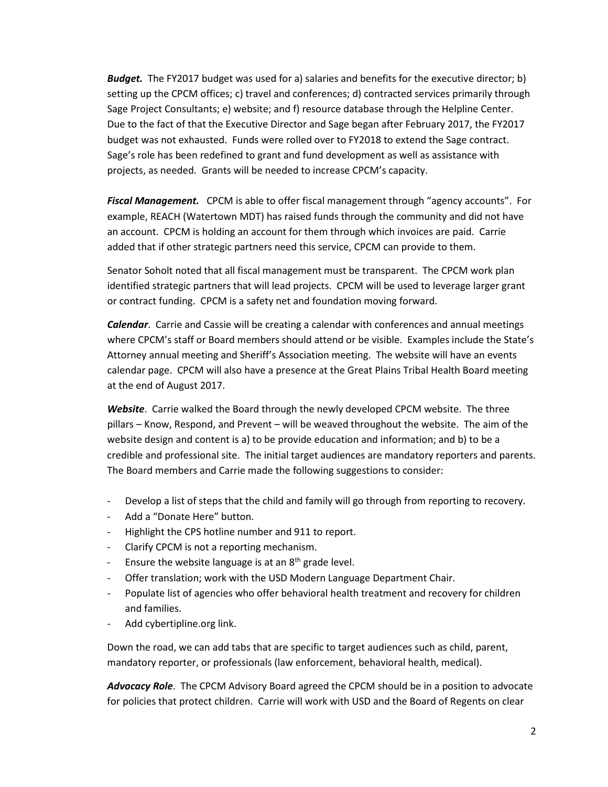*Budget.* The FY2017 budget was used for a) salaries and benefits for the executive director; b) setting up the CPCM offices; c) travel and conferences; d) contracted services primarily through Sage Project Consultants; e) website; and f) resource database through the Helpline Center. Due to the fact of that the Executive Director and Sage began after February 2017, the FY2017 budget was not exhausted. Funds were rolled over to FY2018 to extend the Sage contract. Sage's role has been redefined to grant and fund development as well as assistance with projects, as needed. Grants will be needed to increase CPCM's capacity.

*Fiscal Management.* CPCM is able to offer fiscal management through "agency accounts". For example, REACH (Watertown MDT) has raised funds through the community and did not have an account. CPCM is holding an account for them through which invoices are paid. Carrie added that if other strategic partners need this service, CPCM can provide to them.

Senator Soholt noted that all fiscal management must be transparent. The CPCM work plan identified strategic partners that will lead projects. CPCM will be used to leverage larger grant or contract funding. CPCM is a safety net and foundation moving forward.

*Calendar*. Carrie and Cassie will be creating a calendar with conferences and annual meetings where CPCM's staff or Board members should attend or be visible. Examples include the State's Attorney annual meeting and Sheriff's Association meeting. The website will have an events calendar page. CPCM will also have a presence at the Great Plains Tribal Health Board meeting at the end of August 2017.

*Website*. Carrie walked the Board through the newly developed CPCM website. The three pillars – Know, Respond, and Prevent – will be weaved throughout the website. The aim of the website design and content is a) to be provide education and information; and b) to be a credible and professional site. The initial target audiences are mandatory reporters and parents. The Board members and Carrie made the following suggestions to consider:

- Develop a list of steps that the child and family will go through from reporting to recovery.
- Add a "Donate Here" button.
- Highlight the CPS hotline number and 911 to report.
- Clarify CPCM is not a reporting mechanism.
- Ensure the website language is at an  $8<sup>th</sup>$  grade level.
- Offer translation; work with the USD Modern Language Department Chair.
- Populate list of agencies who offer behavioral health treatment and recovery for children and families.
- Add cybertipline.org link.

Down the road, we can add tabs that are specific to target audiences such as child, parent, mandatory reporter, or professionals (law enforcement, behavioral health, medical).

*Advocacy Role*. The CPCM Advisory Board agreed the CPCM should be in a position to advocate for policies that protect children. Carrie will work with USD and the Board of Regents on clear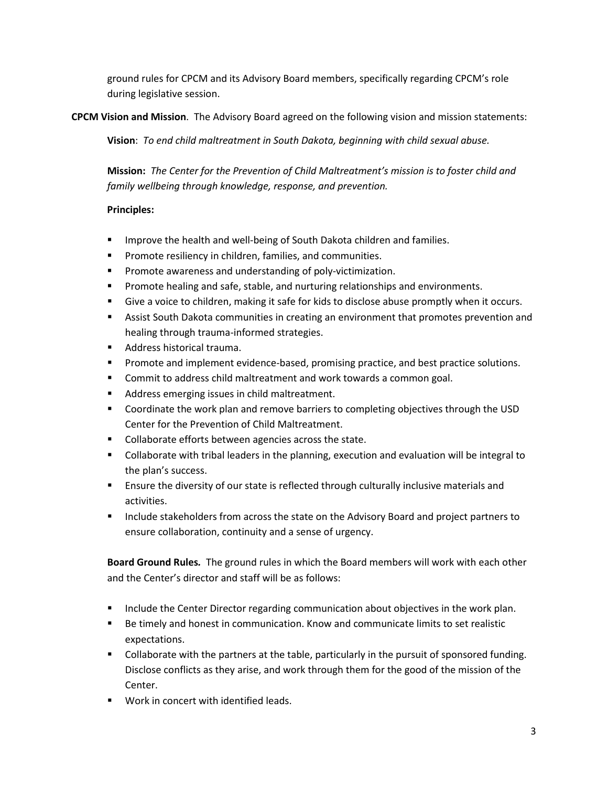ground rules for CPCM and its Advisory Board members, specifically regarding CPCM's role during legislative session.

### **CPCM Vision and Mission**. The Advisory Board agreed on the following vision and mission statements:

**Vision**: *To end child maltreatment in South Dakota, beginning with child sexual abuse.*

**Mission:** *The Center for the Prevention of Child Maltreatment's mission is to foster child and family wellbeing through knowledge, response, and prevention.*

### **Principles:**

- **IMPROVE the health and well-being of South Dakota children and families.**
- **Promote resiliency in children, families, and communities.**
- **Promote awareness and understanding of poly-victimization.**
- **Promote healing and safe, stable, and nurturing relationships and environments.**
- Give a voice to children, making it safe for kids to disclose abuse promptly when it occurs.
- Assist South Dakota communities in creating an environment that promotes prevention and healing through trauma-informed strategies.
- **Address historical trauma.**
- **Promote and implement evidence-based, promising practice, and best practice solutions.**
- Commit to address child maltreatment and work towards a common goal.
- **Address emerging issues in child maltreatment.**
- **Coordinate the work plan and remove barriers to completing objectives through the USD** Center for the Prevention of Child Maltreatment.
- **Collaborate efforts between agencies across the state.**
- Collaborate with tribal leaders in the planning, execution and evaluation will be integral to the plan's success.
- **E** Ensure the diversity of our state is reflected through culturally inclusive materials and activities.
- Include stakeholders from across the state on the Advisory Board and project partners to ensure collaboration, continuity and a sense of urgency.

**Board Ground Rules***.* The ground rules in which the Board members will work with each other and the Center's director and staff will be as follows:

- **Include the Center Director regarding communication about objectives in the work plan.**
- Be timely and honest in communication. Know and communicate limits to set realistic expectations.
- **Collaborate with the partners at the table, particularly in the pursuit of sponsored funding.** Disclose conflicts as they arise, and work through them for the good of the mission of the Center.
- **Work in concert with identified leads.**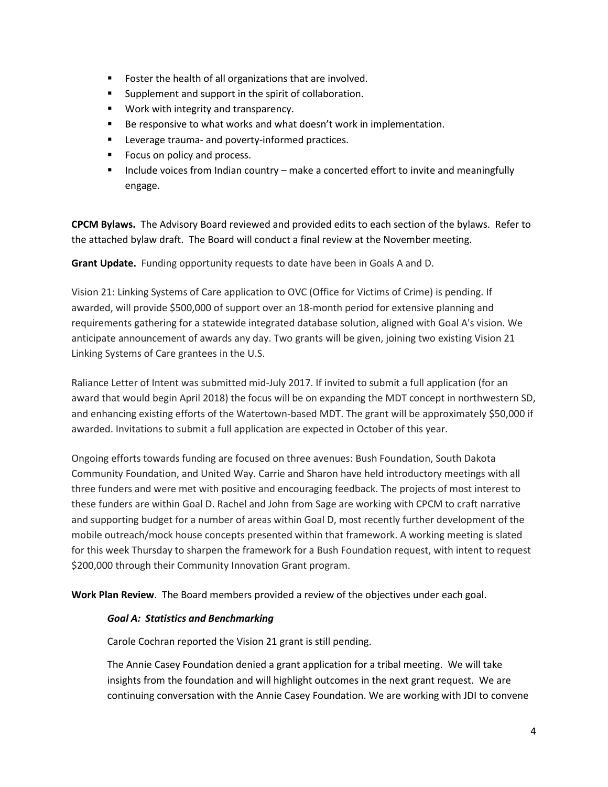- **F** Foster the health of all organizations that are involved.
- **Supplement and support in the spirit of collaboration.**
- **Work with integrity and transparency.**
- Be responsive to what works and what doesn't work in implementation.
- **EXEC** Leverage trauma- and poverty-informed practices.
- Focus on policy and process.
- Include voices from Indian country make a concerted effort to invite and meaningfully engage.

**CPCM Bylaws.** The Advisory Board reviewed and provided edits to each section of the bylaws. Refer to the attached bylaw draft. The Board will conduct a final review at the November meeting.

**Grant Update.** Funding opportunity requests to date have been in Goals A and D.

Vision 21: Linking Systems of Care application to OVC (Office for Victims of Crime) is pending. If awarded, will provide \$500,000 of support over an 18-month period for extensive planning and requirements gathering for a statewide integrated database solution, aligned with Goal A's vision. We anticipate announcement of awards any day. Two grants will be given, joining two existing Vision 21 Linking Systems of Care grantees in the U.S.

Raliance Letter of Intent was submitted mid-July 2017. If invited to submit a full application (for an award that would begin April 2018) the focus will be on expanding the MDT concept in northwestern SD, and enhancing existing efforts of the Watertown-based MDT. The grant will be approximately \$50,000 if awarded. Invitations to submit a full application are expected in October of this year.

Ongoing efforts towards funding are focused on three avenues: Bush Foundation, South Dakota Community Foundation, and United Way. Carrie and Sharon have held introductory meetings with all three funders and were met with positive and encouraging feedback. The projects of most interest to these funders are within Goal D. Rachel and John from Sage are working with CPCM to craft narrative and supporting budget for a number of areas within Goal D, most recently further development of the mobile outreach/mock house concepts presented within that framework. A working meeting is slated for this week Thursday to sharpen the framework for a Bush Foundation request, with intent to request \$200,000 through their Community Innovation Grant program.

**Work Plan Review**. The Board members provided a review of the objectives under each goal.

#### *Goal A: Statistics and Benchmarking*

Carole Cochran reported the Vision 21 grant is still pending.

The Annie Casey Foundation denied a grant application for a tribal meeting. We will take insights from the foundation and will highlight outcomes in the next grant request. We are continuing conversation with the Annie Casey Foundation. We are working with JDI to convene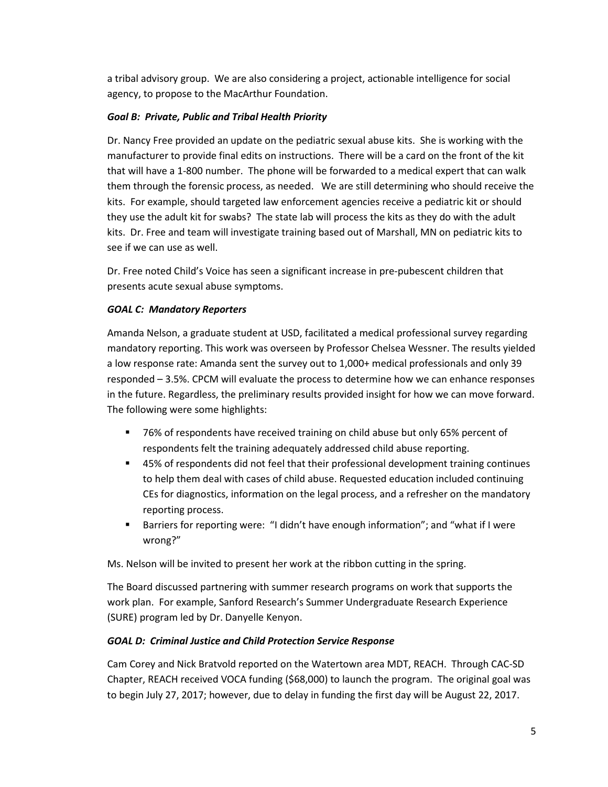a tribal advisory group. We are also considering a project, actionable intelligence for social agency, to propose to the MacArthur Foundation.

### *Goal B: Private, Public and Tribal Health Priority*

Dr. Nancy Free provided an update on the pediatric sexual abuse kits. She is working with the manufacturer to provide final edits on instructions. There will be a card on the front of the kit that will have a 1-800 number. The phone will be forwarded to a medical expert that can walk them through the forensic process, as needed. We are still determining who should receive the kits. For example, should targeted law enforcement agencies receive a pediatric kit or should they use the adult kit for swabs? The state lab will process the kits as they do with the adult kits. Dr. Free and team will investigate training based out of Marshall, MN on pediatric kits to see if we can use as well.

Dr. Free noted Child's Voice has seen a significant increase in pre-pubescent children that presents acute sexual abuse symptoms.

### *GOAL C: Mandatory Reporters*

Amanda Nelson, a graduate student at USD, facilitated a medical professional survey regarding mandatory reporting. This work was overseen by Professor Chelsea Wessner. The results yielded a low response rate: Amanda sent the survey out to 1,000+ medical professionals and only 39 responded – 3.5%. CPCM will evaluate the process to determine how we can enhance responses in the future. Regardless, the preliminary results provided insight for how we can move forward. The following were some highlights:

- 76% of respondents have received training on child abuse but only 65% percent of respondents felt the training adequately addressed child abuse reporting.
- 45% of respondents did not feel that their professional development training continues to help them deal with cases of child abuse. Requested education included continuing CEs for diagnostics, information on the legal process, and a refresher on the mandatory reporting process.
- **Barriers for reporting were: "I didn't have enough information"; and "what if I were** wrong?"

Ms. Nelson will be invited to present her work at the ribbon cutting in the spring.

The Board discussed partnering with summer research programs on work that supports the work plan. For example, Sanford Research's Summer Undergraduate Research Experience (SURE) program led by Dr. Danyelle Kenyon.

### *GOAL D: Criminal Justice and Child Protection Service Response*

Cam Corey and Nick Bratvold reported on the Watertown area MDT, REACH. Through CAC-SD Chapter, REACH received VOCA funding (\$68,000) to launch the program. The original goal was to begin July 27, 2017; however, due to delay in funding the first day will be August 22, 2017.